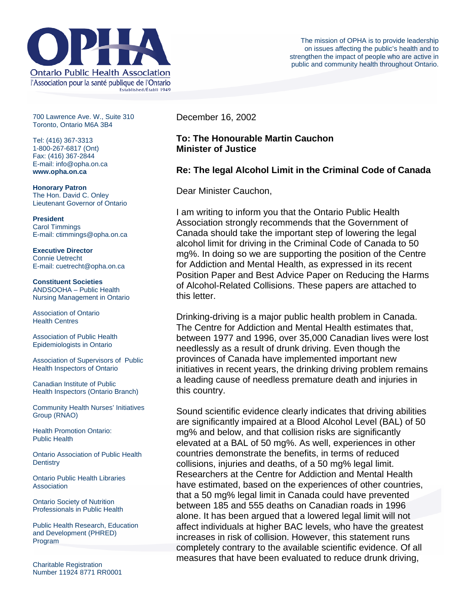

700 Lawrence Ave. W., Suite 310 Toronto, Ontario M6A 3B4

Tel: (416) 367-3313 1-800-267-6817 (Ont) Fax: (416) 367-2844 E-mail: info@opha.on.ca **www.opha.on.ca** 

**Honorary Patron**  The Hon. David C. Onley Lieutenant Governor of Ontario

**President**  Carol Timmings E-mail: ctimmings@opha.on.ca

**Executive Director**  Connie Uetrecht E-mail: cuetrecht@opha.on.ca

**Constituent Societies**  ANDSOOHA – Public Health Nursing Management in Ontario

Association of Ontario Health Centres

Association of Public Health Epidemiologists in Ontario

Association of Supervisors of Public Health Inspectors of Ontario

Canadian Institute of Public Health Inspectors (Ontario Branch)

Community Health Nurses' Initiatives Group (RNAO)

Health Promotion Ontario: Public Health

Ontario Association of Public Health **Dentistry** 

Ontario Public Health Libraries **Association** 

Ontario Society of Nutrition Professionals in Public Health

Public Health Research, Education and Development (PHRED) Program

December 16, 2002

## **To: The Honourable Martin Cauchon Minister of Justice**

## **Re: The legal Alcohol Limit in the Criminal Code of Canada**

Dear Minister Cauchon,

I am writing to inform you that the Ontario Public Health Association strongly recommends that the Government of Canada should take the important step of lowering the legal alcohol limit for driving in the Criminal Code of Canada to 50 mg%. In doing so we are supporting the position of the Centre for Addiction and Mental Health, as expressed in its recent Position Paper and Best Advice Paper on Reducing the Harms of Alcohol-Related Collisions. These papers are attached to this letter.

Drinking-driving is a major public health problem in Canada. The Centre for Addiction and Mental Health estimates that, between 1977 and 1996, over 35,000 Canadian lives were lost needlessly as a result of drunk driving. Even though the provinces of Canada have implemented important new initiatives in recent years, the drinking driving problem remains a leading cause of needless premature death and injuries in this country.

Sound scientific evidence clearly indicates that driving abilities are significantly impaired at a Blood Alcohol Level (BAL) of 50 mg% and below, and that collision risks are significantly elevated at a BAL of 50 mg%. As well, experiences in other countries demonstrate the benefits, in terms of reduced collisions, injuries and deaths, of a 50 mg% legal limit. Researchers at the Centre for Addiction and Mental Health have estimated, based on the experiences of other countries, that a 50 mg% legal limit in Canada could have prevented between 185 and 555 deaths on Canadian roads in 1996 alone. It has been argued that a lowered legal limit will not affect individuals at higher BAC levels, who have the greatest increases in risk of collision. However, this statement runs completely contrary to the available scientific evidence. Of all measures that have been evaluated to reduce drunk driving,